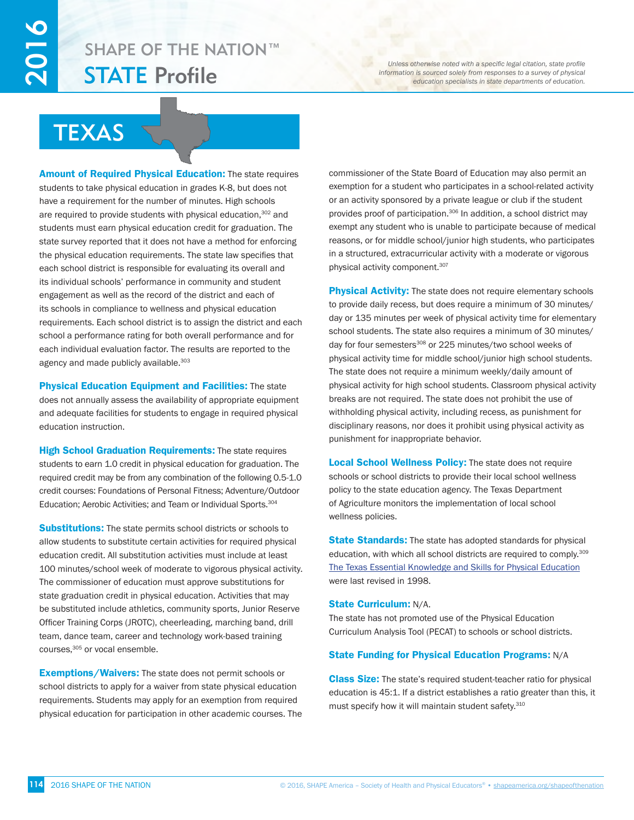# STATE Profile SHAPE OF THE NATION™

*Unless otherwise noted with a specific legal citation, state profile information is sourced solely from responses to a survey of physical education specialists in state departments of education.*

# **TEXAS**

Amount of Required Physical Education: The state requires students to take physical education in grades K-8, but does not have a requirement for the number of minutes. High schools are required to provide students with physical education,<sup>302</sup> and students must earn physical education credit for graduation. The state survey reported that it does not have a method for enforcing the physical education requirements. The state law specifies that each school district is responsible for evaluating its overall and its individual schools' performance in community and student engagement as well as the record of the district and each of its schools in compliance to wellness and physical education requirements. Each school district is to assign the district and each school a performance rating for both overall performance and for each individual evaluation factor. The results are reported to the agency and made publicly available.<sup>303</sup>

Physical Education Equipment and Facilities: The state does not annually assess the availability of appropriate equipment and adequate facilities for students to engage in required physical education instruction.

**High School Graduation Requirements:** The state requires students to earn 1.0 credit in physical education for graduation. The required credit may be from any combination of the following 0.5-1.0 credit courses: Foundations of Personal Fitness; Adventure/Outdoor Education; Aerobic Activities; and Team or Individual Sports.<sup>304</sup>

**Substitutions:** The state permits school districts or schools to allow students to substitute certain activities for required physical education credit. All substitution activities must include at least 100 minutes/school week of moderate to vigorous physical activity. The commissioner of education must approve substitutions for state graduation credit in physical education. Activities that may be substituted include athletics, community sports, Junior Reserve Officer Training Corps (JROTC), cheerleading, marching band, drill team, dance team, career and technology work-based training courses, 305 or vocal ensemble.

**Exemptions/Waivers:** The state does not permit schools or school districts to apply for a waiver from state physical education requirements. Students may apply for an exemption from required physical education for participation in other academic courses. The commissioner of the State Board of Education may also permit an exemption for a student who participates in a school-related activity or an activity sponsored by a private league or club if the student provides proof of participation.<sup>306</sup> In addition, a school district may exempt any student who is unable to participate because of medical reasons, or for middle school/junior high students, who participates in a structured, extracurricular activity with a moderate or vigorous physical activity component.307

Physical Activity: The state does not require elementary schools to provide daily recess, but does require a minimum of 30 minutes/ day or 135 minutes per week of physical activity time for elementary school students. The state also requires a minimum of 30 minutes/ day for four semesters<sup>308</sup> or 225 minutes/two school weeks of physical activity time for middle school/junior high school students. The state does not require a minimum weekly/daily amount of physical activity for high school students. Classroom physical activity breaks are not required. The state does not prohibit the use of withholding physical activity, including recess, as punishment for disciplinary reasons, nor does it prohibit using physical activity as punishment for inappropriate behavior.

**Local School Wellness Policy:** The state does not require schools or school districts to provide their local school wellness policy to the state education agency. The Texas Department of Agriculture monitors the implementation of local school wellness policies.

**State Standards:** The state has adopted standards for physical education, with which all school districts are required to comply.<sup>309</sup> [The Texas Essential Knowledge and Skills for Physical Education](http://www.ritter.tea.state.tx.us/rules/tac/chapter116/index.htm) were last revised in 1998.

#### State Curriculum: N/A.

The state has not promoted use of the Physical Education Curriculum Analysis Tool (PECAT) to schools or school districts.

### State Funding for Physical Education Programs: N/A

**Class Size:** The state's required student-teacher ratio for physical education is 45:1. If a district establishes a ratio greater than this, it must specify how it will maintain student safety.<sup>310</sup>